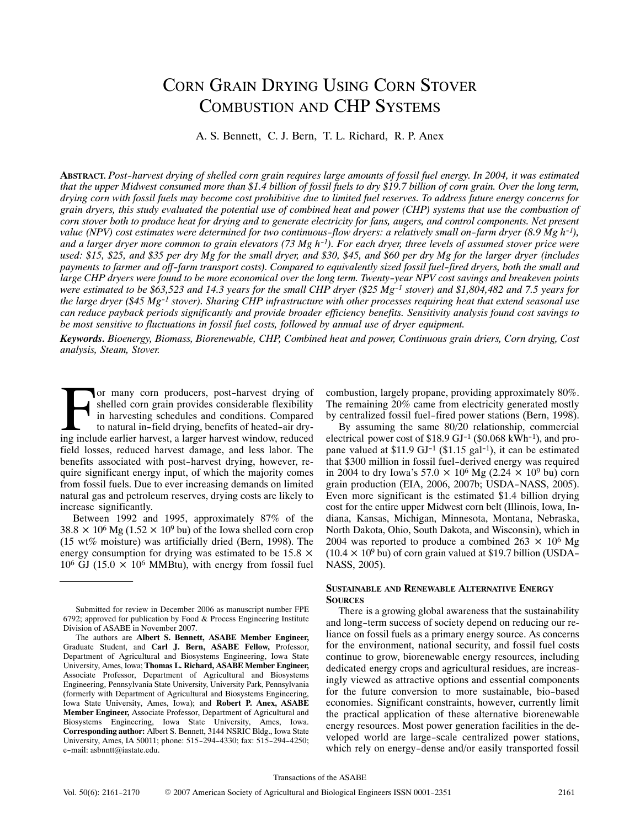# CORN GRAIN DRYING USING CORN STOVER COMBUSTION AND CHP SYSTEMS

A. S. Bennett, C. J. Bern, T. L. Richard, R. P. Anex

**ABSTRACT.** *Post-harvest drying of shelled corn grain requires large amounts of fossil fuel energy. In 2004, it was estimated that the upper Midwest consumed more than \$1.4 billion of fossil fuels to dry \$19.7 billion of corn grain. Over the long term, drying corn with fossil fuels may become cost prohibitive due to limited fuel reserves. To address future energy concerns for grain dryers, this study evaluated the potential use of combined heat and power (CHP) systems that use the combustion of corn stover both to produce heat for drying and to generate electricity for fans, augers, and control components. Net present value (NPV) cost estimates were determined for two continuous-flow dryers: a relatively small on-farm dryer (8.9 Mg h-1), and a larger dryer more common to grain elevators (73 Mg h-1). For each dryer, three levels of assumed stover price were used: \$15, \$25, and \$35 per dry Mg for the small dryer, and \$30, \$45, and \$60 per dry Mg for the larger dryer (includes payments to farmer and off-farm transport costs). Compared to equivalently sized fossil fuel-fired dryers, both the small and large CHP dryers were found to be more economical over the long term. Twenty-year NPV cost savings and breakeven points were estimated to be \$63,523 and 14.3 years for the small CHP dryer (\$25 Mg-1 stover) and \$1,804,482 and 7.5 years for the large dryer (\$45 Mg-1 stover). Sharing CHP infrastructure with other processes requiring heat that extend seasonal use can reduce payback periods significantly and provide broader efficiency benefits. Sensitivity analysis found cost savings to be most sensitive to fluctuations in fossil fuel costs, followed by annual use of dryer equipment.*

*Keywords. Bioenergy, Biomass, Biorenewable, CHP, Combined heat and power, Continuous grain driers, Corn drying, Cost analysis, Steam, Stover.*

or many corn producers, post-harvest drying of shelled corn grain provides considerable flexibility in harvesting schedules and conditions. Compared to natural in-field drying, benefits of heated-air dry‐ or many corn producers, post-harvest drying of shelled corn grain provides considerable flexibility in harvesting schedules and conditions. Compared to natural in-field drying, benefits of heated-air drying include earlier field losses, reduced harvest damage, and less labor. The benefits associated with post-harvest drying, however, re‐ quire significant energy input, of which the majority comes from fossil fuels. Due to ever increasing demands on limited natural gas and petroleum reserves, drying costs are likely to increase significantly.

Between 1992 and 1995, approximately 87% of the  $38.8 \times 10^6$  Mg (1.52  $\times$  10<sup>9</sup> bu) of the Iowa shelled corn crop (15 wt% moisture) was artificially dried (Bern, 1998). The energy consumption for drying was estimated to be  $15.8 \times$  $10^6$  GJ (15.0  $\times$  10<sup>6</sup> MMBtu), with energy from fossil fuel combustion, largely propane, providing approximately 80%. The remaining 20% came from electricity generated mostly by centralized fossil fuel-fired power stations (Bern, 1998).

By assuming the same 80/20 relationship, commercial electrical power cost of  $$18.9$  GJ<sup>-1</sup> ( $$0.068$  kWh<sup>-1</sup>), and propane valued at  $$11.9$  GJ<sup>-1</sup> ( $$1.15$  gal<sup>-1</sup>), it can be estimated that \$300 million in fossil fuel-derived energy was required in 2004 to dry Iowa's 57.0  $\times$  10<sup>6</sup> Mg (2.24  $\times$  10<sup>9</sup> bu) corn grain production (EIA, 2006, 2007b; USDA-NASS, 2005). Even more significant is the estimated \$1.4 billion drying cost for the entire upper Midwest corn belt (Illinois, Iowa, In‐ diana, Kansas, Michigan, Minnesota, Montana, Nebraska, North Dakota, Ohio, South Dakota, and Wisconsin), which in 2004 was reported to produce a combined 263  $\times$  10<sup>6</sup> Mg  $(10.4 \times 10^9)$  bu) of corn grain valued at \$19.7 billion (USDA-NASS, 2005).

#### **SUSTAINABLE AND RENEWABLE ALTERNATIVE ENERGY SOURCES**

There is a growing global awareness that the sustainability and long-term success of society depend on reducing our re‐ liance on fossil fuels as a primary energy source. As concerns for the environment, national security, and fossil fuel costs continue to grow, biorenewable energy resources, including dedicated energy crops and agricultural residues, are increas‐ ingly viewed as attractive options and essential components for the future conversion to more sustainable, bio-based economies. Significant constraints, however, currently limit the practical application of these alternative biorenewable energy resources. Most power generation facilities in the de‐ veloped world are large-scale centralized power stations, which rely on energy-dense and/or easily transported fossil

Submitted for review in December 2006 as manuscript number FPE 6792; approved for publication by Food & Process Engineering Institute Division of ASABE in November 2007.

The authors are **Albert S. Bennett, ASABE Member Engineer,** Graduate Student, and **Carl J. Bern, ASABE Fellow,** Professor, Department of Agricultural and Biosystems Engineering, Iowa State University, Ames, Iowa; **Thomas L. Richard, ASABE Member Engineer,** Associate Professor, Department of Agricultural and Biosystems Engineering, Pennsylvania State University, University Park, Pennsylvania (formerly with Department of Agricultural and Biosystems Engineering, Iowa State University, Ames, Iowa); and **Robert P. Anex, ASABE Member Engineer,** Associate Professor, Department of Agricultural and Biosystems Engineering, Iowa State University, Ames, Iowa. **Corresponding author:** Albert S. Bennett, 3144 NSRIC Bldg., Iowa State University, Ames, IA 50011; phone: 515-294-4330; fax: 515-294-4250; e-mail: asbnntt@iastate.edu.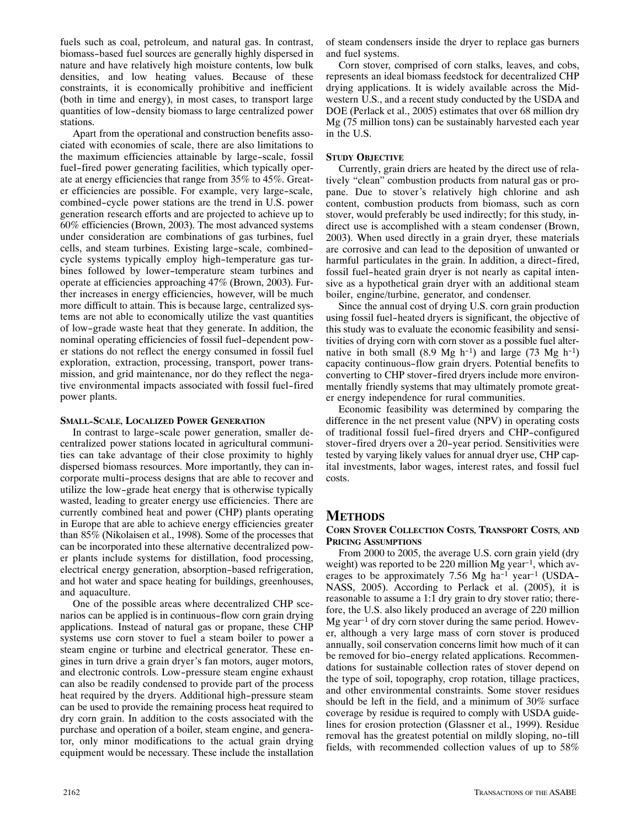fuels such as coal, petroleum, and natural gas. In contrast, biomass-based fuel sources are generally highly dispersed in nature and have relatively high moisture contents, low bulk densities, and low heating values. Because of these constraints, it is economically prohibitive and inefficient (both in time and energy), in most cases, to transport large quantities of low-density biomass to large centralized power stations.

Apart from the operational and construction benefits associated with economies of scale, there are also limitations to the maximum efficiencies attainable by large-scale, fossil fuel-fired power generating facilities, which typically operate at energy efficiencies that range from 35% to 45%. Great‐ er efficiencies are possible. For example, very large-scale, combined-cycle power stations are the trend in U.S. power generation research efforts and are projected to achieve up to 60% efficiencies (Brown, 2003). The most advanced systems under consideration are combinations of gas turbines, fuel cells, and steam turbines. Existing large-scale, combinedcycle systems typically employ high-temperature gas turbines followed by lower-temperature steam turbines and operate at efficiencies approaching 47% (Brown, 2003). Fur‐ ther increases in energy efficiencies, however, will be much more difficult to attain. This is because large, centralized systems are not able to economically utilize the vast quantities of low-grade waste heat that they generate. In addition, the nominal operating efficiencies of fossil fuel-dependent pow‐ er stations do not reflect the energy consumed in fossil fuel exploration, extraction, processing, transport, power transmission, and grid maintenance, nor do they reflect the negative environmental impacts associated with fossil fuel-fired power plants.

## **SMALL-SCALE, LOCALIZED POWER GENERATION**

In contrast to large-scale power generation, smaller de‐ centralized power stations located in agricultural communi‐ ties can take advantage of their close proximity to highly dispersed biomass resources. More importantly, they can in‐ corporate multi-process designs that are able to recover and utilize the low-grade heat energy that is otherwise typically wasted, leading to greater energy use efficiencies. There are currently combined heat and power (CHP) plants operating in Europe that are able to achieve energy efficiencies greater than 85% (Nikolaisen et al., 1998). Some of the processes that can be incorporated into these alternative decentralized pow‐ er plants include systems for distillation, food processing, electrical energy generation, absorption-based refrigeration, and hot water and space heating for buildings, greenhouses, and aquaculture.

One of the possible areas where decentralized CHP scenarios can be applied is in continuous-flow corn grain drying applications. Instead of natural gas or propane, these CHP systems use corn stover to fuel a steam boiler to power a steam engine or turbine and electrical generator. These engines in turn drive a grain dryer's fan motors, auger motors, and electronic controls. Low-pressure steam engine exhaust can also be readily condensed to provide part of the process heat required by the dryers. Additional high-pressure steam can be used to provide the remaining process heat required to dry corn grain. In addition to the costs associated with the purchase and operation of a boiler, steam engine, and genera‐ tor, only minor modifications to the actual grain drying equipment would be necessary. These include the installation

of steam condensers inside the dryer to replace gas burners and fuel systems.

Corn stover, comprised of corn stalks, leaves, and cobs, represents an ideal biomass feedstock for decentralized CHP drying applications. It is widely available across the Mid‐ western U.S., and a recent study conducted by the USDA and DOE (Perlack et al., 2005) estimates that over 68 million dry Mg (75 million tons) can be sustainably harvested each year in the U.S.

## **STUDY OBJECTIVE**

Currently, grain driers are heated by the direct use of rela‐ tively "clean" combustion products from natural gas or pro‐ pane. Due to stover's relatively high chlorine and ash content, combustion products from biomass, such as corn stover, would preferably be used indirectly; for this study, in‐ direct use is accomplished with a steam condenser (Brown, 2003). When used directly in a grain dryer, these materials are corrosive and can lead to the deposition of unwanted or harmful particulates in the grain. In addition, a direct-fired, fossil fuel-heated grain dryer is not nearly as capital inten‐ sive as a hypothetical grain dryer with an additional steam boiler, engine/turbine, generator, and condenser.

Since the annual cost of drying U.S. corn grain production using fossil fuel-heated dryers is significant, the objective of this study was to evaluate the economic feasibility and sensi‐ tivities of drying corn with corn stover as a possible fuel alter‐ native in both small  $(8.9 \text{ Mg h}^{-1})$  and large  $(73 \text{ Mg h}^{-1})$ capacity continuous-flow grain dryers. Potential benefits to converting to CHP stover-fired dryers include more environ‐ mentally friendly systems that may ultimately promote greater energy independence for rural communities.

Economic feasibility was determined by comparing the difference in the net present value (NPV) in operating costs of traditional fossil fuel-fired dryers and CHP-configured stover-fired dryers over a 20-year period. Sensitivities were tested by varying likely values for annual dryer use, CHP cap‐ ital investments, labor wages, interest rates, and fossil fuel costs.

# **METHODS**

## **CORN STOVER COLLECTION COSTS, TRANSPORT COSTS, AND PRICING ASSUMPTIONS**

From 2000 to 2005, the average U.S. corn grain yield (dry weight) was reported to be 220 million Mg year<sup>-1</sup>, which averages to be approximately 7.56 Mg ha<sup>-1</sup> year<sup>-1</sup> (USDA-NASS, 2005). According to Perlack et al. (2005), it is reasonable to assume a 1:1 dry grain to dry stover ratio; therefore, the U.S. also likely produced an average of 220 million Mg year<sup>-1</sup> of dry corn stover during the same period. However, although a very large mass of corn stover is produced annually, soil conservation concerns limit how much of it can be removed for bio-energy related applications. Recommendations for sustainable collection rates of stover depend on the type of soil, topography, crop rotation, tillage practices, and other environmental constraints. Some stover residues should be left in the field, and a minimum of 30% surface coverage by residue is required to comply with USDA guide‐ lines for erosion protection (Glassner et al., 1999). Residue removal has the greatest potential on mildly sloping, no-till fields, with recommended collection values of up to 58%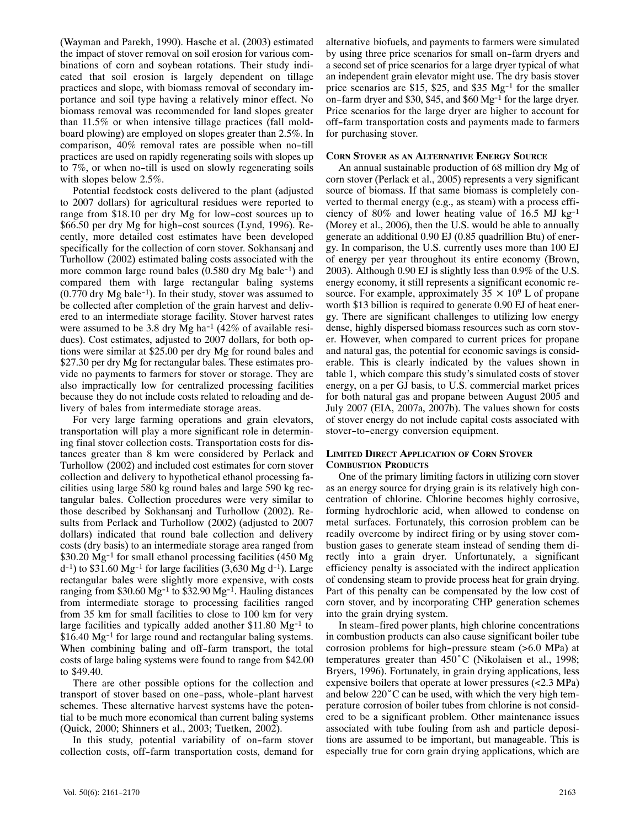(Wayman and Parekh, 1990). Hasche et al. (2003) estimated the impact of stover removal on soil erosion for various com‐ binations of corn and soybean rotations. Their study indi‐ cated that soil erosion is largely dependent on tillage practices and slope, with biomass removal of secondary im‐ portance and soil type having a relatively minor effect. No biomass removal was recommended for land slopes greater than 11.5% or when intensive tillage practices (fall mold‐ board plowing) are employed on slopes greater than 2.5%. In comparison, 40% removal rates are possible when no-till practices are used on rapidly regenerating soils with slopes up to 7%, or when no-till is used on slowly regenerating soils with slopes below 2.5%.

Potential feedstock costs delivered to the plant (adjusted to 2007 dollars) for agricultural residues were reported to range from \$18.10 per dry Mg for low-cost sources up to \$66.50 per dry Mg for high-cost sources (Lynd, 1996). Re‐ cently, more detailed cost estimates have been developed specifically for the collection of corn stover. Sokhansanj and Turhollow (2002) estimated baling costs associated with the more common large round bales (0.580 dry Mg bale<sup>-1</sup>) and compared them with large rectangular baling systems  $(0.770 \text{ dry Mg bale}^{-1})$ . In their study, stover was assumed to be collected after completion of the grain harvest and delivered to an intermediate storage facility. Stover harvest rates were assumed to be 3.8 dry Mg ha<sup>-1</sup> (42% of available residues). Cost estimates, adjusted to 2007 dollars, for both options were similar at \$25.00 per dry Mg for round bales and \$27.30 per dry Mg for rectangular bales. These estimates provide no payments to farmers for stover or storage. They are also impractically low for centralized processing facilities because they do not include costs related to reloading and de‐ livery of bales from intermediate storage areas.

For very large farming operations and grain elevators, transportation will play a more significant role in determin‐ ing final stover collection costs. Transportation costs for dis‐ tances greater than 8 km were considered by Perlack and Turhollow (2002) and included cost estimates for corn stover collection and delivery to hypothetical ethanol processing facilities using large 580 kg round bales and large 590 kg rec‐ tangular bales. Collection procedures were very similar to those described by Sokhansanj and Turhollow (2002). Re‐ sults from Perlack and Turhollow (2002) (adjusted to 2007 dollars) indicated that round bale collection and delivery costs (dry basis) to an intermediate storage area ranged from \$30.20 Mg-1 for small ethanol processing facilities (450 Mg  $(d<sup>-1</sup>)$  to \$31.60 Mg<sup>-1</sup> for large facilities (3,630 Mg d<sup>-1</sup>). Large rectangular bales were slightly more expensive, with costs ranging from \$30.60 Mg<sup>-1</sup> to \$32.90 Mg<sup>-1</sup>. Hauling distances from intermediate storage to processing facilities ranged from 35 km for small facilities to close to 100 km for very large facilities and typically added another \$11.80 Mg-1 to \$16.40 Mg-1 for large round and rectangular baling systems. When combining baling and off-farm transport, the total costs of large baling systems were found to range from \$42.00 to \$49.40.

There are other possible options for the collection and transport of stover based on one-pass, whole-plant harvest schemes. These alternative harvest systems have the potential to be much more economical than current baling systems (Quick, 2000; Shinners et al., 2003; Tuetken, 2002).

In this study, potential variability of on-farm stover collection costs, off-farm transportation costs, demand for alternative biofuels, and payments to farmers were simulated by using three price scenarios for small on-farm dryers and a second set of price scenarios for a large dryer typical of what an independent grain elevator might use. The dry basis stover price scenarios are \$15, \$25, and \$35  $Mg^{-1}$  for the smaller on-farm dryer and \$30, \$45, and \$60 Mg-1 for the large dryer. Price scenarios for the large dryer are higher to account for off-farm transportation costs and payments made to farmers for purchasing stover.

## **CORN STOVER AS AN ALTERNATIVE ENERGY SOURCE**

An annual sustainable production of 68 million dry Mg of corn stover (Perlack et al., 2005) represents a very significant source of biomass. If that same biomass is completely converted to thermal energy (e.g., as steam) with a process efficiency of 80% and lower heating value of 16.5 MJ kg<sup>-1</sup> (Morey et al., 2006), then the U.S. would be able to annually generate an additional 0.90 EJ (0.85 quadrillion Btu) of ener‐ gy. In comparison, the U.S. currently uses more than 100 EJ of energy per year throughout its entire economy (Brown, 2003). Although 0.90 EJ is slightly less than 0.9% of the U.S. energy economy, it still represents a significant economic resource. For example, approximately  $35 \times 10^9$  L of propane worth \$13 billion is required to generate 0.90 EJ of heat energy. There are significant challenges to utilizing low energy dense, highly dispersed biomass resources such as corn stover. However, when compared to current prices for propane and natural gas, the potential for economic savings is consid‐ erable. This is clearly indicated by the values shown in table1, which compare this study's simulated costs of stover energy, on a per GJ basis, to U.S. commercial market prices for both natural gas and propane between August 2005 and July 2007 (EIA, 2007a, 2007b). The values shown for costs of stover energy do not include capital costs associated with stover-to-energy conversion equipment.

## **LIMITED DIRECT APPLICATION OF CORN STOVER COMBUSTION PRODUCTS**

One of the primary limiting factors in utilizing corn stover as an energy source for drying grain is its relatively high con‐ centration of chlorine. Chlorine becomes highly corrosive, forming hydrochloric acid, when allowed to condense on metal surfaces. Fortunately, this corrosion problem can be readily overcome by indirect firing or by using stover com‐ bustion gases to generate steam instead of sending them di‐ rectly into a grain dryer. Unfortunately, a significant efficiency penalty is associated with the indirect application of condensing steam to provide process heat for grain drying. Part of this penalty can be compensated by the low cost of corn stover, and by incorporating CHP generation schemes into the grain drying system.

In steam-fired power plants, high chlorine concentrations in combustion products can also cause significant boiler tube corrosion problems for high-pressure steam (>6.0 MPa) at temperatures greater than 450°C (Nikolaisen et al., 1998; Bryers, 1996). Fortunately, in grain drying applications, less expensive boilers that operate at lower pressures (<2.3 MPa) and below 220°C can be used, with which the very high tem‐ perature corrosion of boiler tubes from chlorine is not consid‐ ered to be a significant problem. Other maintenance issues associated with tube fouling from ash and particle depositions are assumed to be important, but manageable. This is especially true for corn grain drying applications, which are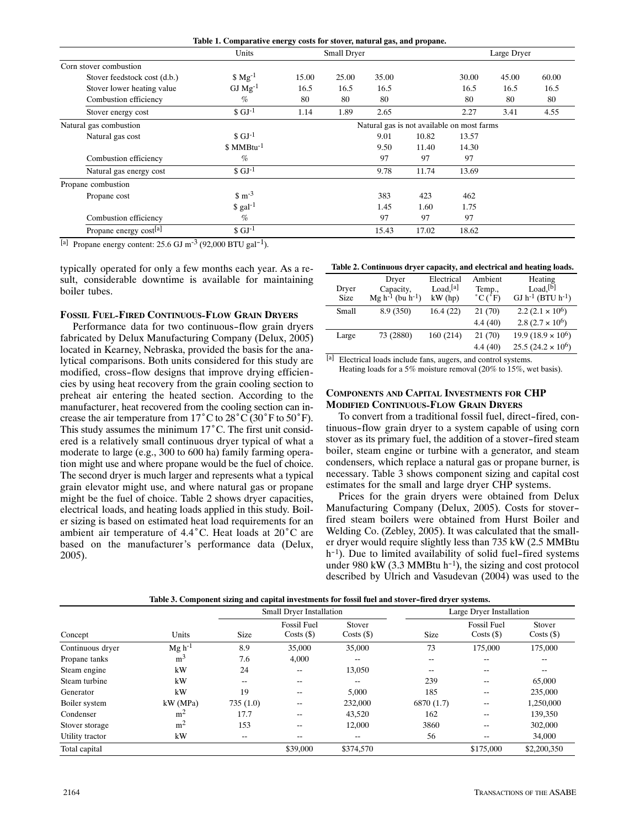| Table 1. Comparative energy costs for stover, natural gas, and propane. |  |  |  |
|-------------------------------------------------------------------------|--|--|--|
|                                                                         |  |  |  |

|                              | Units<br>Small Dryer |       |                                            |       | Large Dryer |       |       |       |
|------------------------------|----------------------|-------|--------------------------------------------|-------|-------------|-------|-------|-------|
| Corn stover combustion       |                      |       |                                            |       |             |       |       |       |
| Stover feedstock cost (d.b.) | $$Mg^{-1}$$          | 15.00 | 25.00                                      | 35.00 |             | 30.00 | 45.00 | 60.00 |
| Stover lower heating value   | $GJ Mg-1$            | 16.5  | 16.5                                       | 16.5  |             | 16.5  | 16.5  | 16.5  |
| Combustion efficiency        | $\%$                 | 80    | 80                                         | 80    |             | 80    | 80    | 80    |
| Stover energy cost           | $S \text{ GJ}^{-1}$  | 1.14  | 1.89                                       | 2.65  |             | 2.27  | 3.41  | 4.55  |
| Natural gas combustion       |                      |       | Natural gas is not available on most farms |       |             |       |       |       |
| Natural gas cost             | $S \text{ GJ}^{-1}$  |       |                                            | 9.01  | 10.82       | 13.57 |       |       |
|                              | $$MMBtu-1$           |       |                                            | 9.50  | 11.40       | 14.30 |       |       |
| Combustion efficiency        | $\%$                 |       |                                            | 97    | 97          | 97    |       |       |
| Natural gas energy cost      | $$$ GJ <sup>-1</sup> |       |                                            | 9.78  | 11.74       | 13.69 |       |       |
| Propane combustion           |                      |       |                                            |       |             |       |       |       |
| Propane cost                 | $\text{m}^{-3}$      |       |                                            | 383   | 423         | 462   |       |       |
|                              | $\text{\$ gal}^{-1}$ |       |                                            | 1.45  | 1.60        | 1.75  |       |       |
| Combustion efficiency        | $\%$                 |       |                                            | 97    | 97          | 97    |       |       |
| Propane energy cost[a]       | $$GJ-1$              |       |                                            | 15.43 | 17.02       | 18.62 |       |       |

[a] Propane energy content:  $25.6$  GJ m<sup>-3</sup> (92,000 BTU gal<sup>-1</sup>).

typically operated for only a few months each year. As a re‐ sult, considerable downtime is available for maintaining boiler tubes.

#### **FOSSIL FUEL-FIRED CONTINUOUS-FLOW GRAIN DRYERS**

Performance data for two continuous-flow grain dryers fabricated by Delux Manufacturing Company (Delux, 2005) located in Kearney, Nebraska, provided the basis for the ana‐ lytical comparisons. Both units considered for this study are modified, cross-flow designs that improve drying efficiencies by using heat recovery from the grain cooling section to preheat air entering the heated section. According to the manufacturer, heat recovered from the cooling section can increase the air temperature from 17°C to 28°C (30°F to 50°F). This study assumes the minimum 17°C. The first unit consid‐ ered is a relatively small continuous dryer typical of what a moderate to large (e.g., 300 to 600 ha) family farming opera‐ tion might use and where propane would be the fuel of choice. The second dryer is much larger and represents what a typical grain elevator might use, and where natural gas or propane might be the fuel of choice. Table 2 shows dryer capacities, electrical loads, and heating loads applied in this study. Boil‐ er sizing is based on estimated heat load requirements for an ambient air temperature of 4.4°C. Heat loads at 20°C are based on the manufacturer's performance data (Delux, 2005).

#### **Table 2. Continuous dryer capacity, and electrical and heating loads.**

| Dryer<br><b>Size</b> | Dryer<br>Capacity,<br>$Mg h^{-1}$ (bu h <sup>-1</sup> ) | Electrical<br>Load <sup>[a]</sup><br>$kW$ (hp) | Ambient<br>Temp.,<br>$^{\circ}$ C $(^{\circ}F)$ | Heating<br>Load <sup>[b]</sup><br>GJ $h^{-1}$ (BTU $h^{-1}$ ) |
|----------------------|---------------------------------------------------------|------------------------------------------------|-------------------------------------------------|---------------------------------------------------------------|
| Small                | 8.9 (350)                                               | 16.4(22)                                       | 21(70)                                          | 2.2 $(2.1 \times 10^6)$                                       |
|                      |                                                         |                                                | 4.4(40)                                         | 2.8 $(2.7 \times 10^6)$                                       |
| Large                | 73 (2880)                                               | 160 (214)                                      | 21(70)                                          | $19.9(18.9\times10^6)$                                        |
|                      |                                                         |                                                | 4.4(40)                                         | $25.5(24.2 \times 10^6)$                                      |

[a] Electrical loads include fans, augers, and control systems. Heating loads for a 5% moisture removal (20% to 15%, wet basis).

#### **COMPONENTS AND CAPITAL INVESTMENTS FOR CHP MODIFIED CONTINUOUS-FLOW GRAIN DRYERS**

To convert from a traditional fossil fuel, direct-fired, con‐ tinuous-flow grain dryer to a system capable of using corn stover as its primary fuel, the addition of a stover-fired steam boiler, steam engine or turbine with a generator, and steam condensers, which replace a natural gas or propane burner, is necessary. Table 3 shows component sizing and capital cost estimates for the small and large dryer CHP systems.

Prices for the grain dryers were obtained from Delux Manufacturing Company (Delux, 2005). Costs for stoverfired steam boilers were obtained from Hurst Boiler and Welding Co. (Zebley, 2005). It was calculated that the smaller dryer would require slightly less than 735 kW (2.5 MMBtu h<sup>-1</sup>). Due to limited availability of solid fuel-fired systems under 980 kW (3.3 MMBtu h<sup>-1</sup>), the sizing and cost protocol described by Ulrich and Vasudevan (2004) was used to the

|                  |                |             | Small Dryer Installation           |                        | Large Dryer Installation |                                    |                    |  |
|------------------|----------------|-------------|------------------------------------|------------------------|--------------------------|------------------------------------|--------------------|--|
| Concept          | Units          | <b>Size</b> | <b>Fossil Fuel</b><br>$Costs$ (\$) | Stover<br>$Costs$ (\$) | <b>Size</b>              | <b>Fossil Fuel</b><br>$Costs$ (\$) | Stover<br>Costs(S) |  |
| Continuous dryer | $Mg h^{-1}$    | 8.9         | 35,000                             | 35,000                 | 73                       | 175,000                            | 175,000            |  |
| Propane tanks    | m <sup>3</sup> | 7.6         | 4,000                              | $- -$                  | $- -$                    |                                    | --                 |  |
| Steam engine     | kW             | 24          | $- -$                              | 13,050                 | $- -$                    | --                                 | --                 |  |
| Steam turbine    | kW             | $-$         | --                                 | $- -$                  | 239                      | $- -$                              | 65,000             |  |
| Generator        | kW             | 19          | $- -$                              | 5.000                  | 185                      | $\overline{\phantom{m}}$           | 235,000            |  |
| Boiler system    | kW(MPa)        | 735(1.0)    | $- -$                              | 232,000                | 6870 (1.7)               | $- -$                              | 1,250,000          |  |
| Condenser        | m <sup>2</sup> | 17.7        | $- -$                              | 43,520                 | 162                      | --                                 | 139,350            |  |
| Stover storage   | m <sup>2</sup> | 153         | $- -$                              | 12,000                 | 3860                     | $- -$                              | 302,000            |  |
| Utility tractor  | kW             | --          | --                                 | --                     | 56                       | $- -$                              | 34,000             |  |
| Total capital    |                |             | \$39,000                           | \$374,570              |                          | \$175,000                          | \$2,200,350        |  |

**Table 3. Component sizing and capital investments for fossil fuel and stover-fired dryer systems.**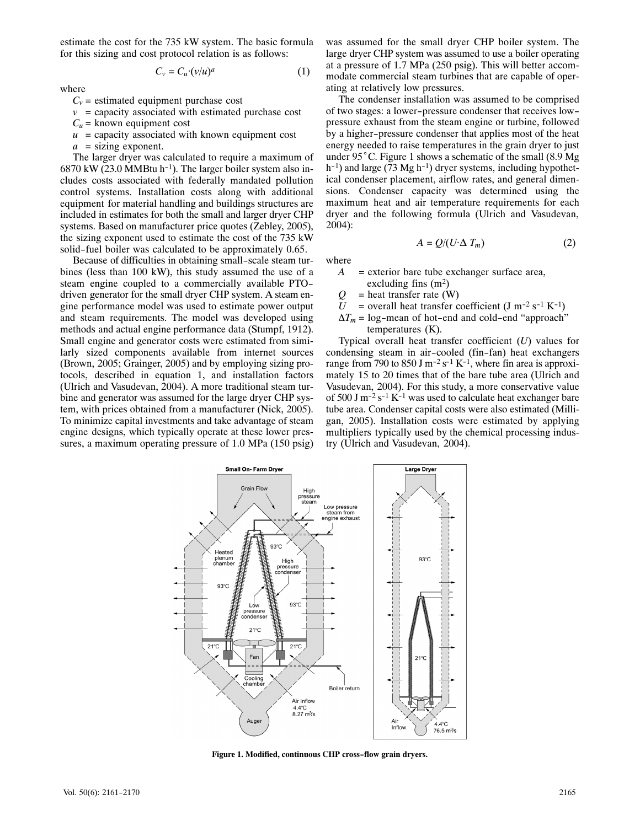estimate the cost for the 735 kW system. The basic formula for this sizing and cost protocol relation is as follows:

$$
C_v = C_u \cdot (v/u)^a \tag{1}
$$

where

$$
C_v = estimated equipment purchase cost
$$

 $v =$  capacity associated with estimated purchase cost

 $C_u$  = known equipment cost

 $u =$  capacity associated with known equipment cost

*a* = sizing exponent.

The larger dryer was calculated to require a maximum of  $6870$  kW (23.0 MMBtu h<sup>-1</sup>). The larger boiler system also includes costs associated with federally mandated pollution control systems. Installation costs along with additional equipment for material handling and buildings structures are included in estimates for both the small and larger dryer CHP systems. Based on manufacturer price quotes (Zebley, 2005), the sizing exponent used to estimate the cost of the 735 kW solid-fuel boiler was calculated to be approximately 0.65.

Because of difficulties in obtaining small-scale steam turbines (less than 100 kW), this study assumed the use of a steam engine coupled to a commercially available PTOdriven generator for the small dryer CHP system. A steam engine performance model was used to estimate power output and steam requirements. The model was developed using methods and actual engine performance data (Stumpf, 1912). Small engine and generator costs were estimated from similarly sized components available from internet sources (Brown, 2005; Grainger, 2005) and by employing sizing pro‐ tocols, described in equation 1, and installation factors (Ulrich and Vasudevan, 2004). A more traditional steam tur‐ bine and generator was assumed for the large dryer CHP system, with prices obtained from a manufacturer (Nick, 2005). To minimize capital investments and take advantage of steam engine designs, which typically operate at these lower pressures, a maximum operating pressure of 1.0 MPa (150 psig) was assumed for the small dryer CHP boiler system. The large dryer CHP system was assumed to use a boiler operating at a pressure of 1.7 MPa (250 psig). This will better accom‐ modate commercial steam turbines that are capable of oper‐ ating at relatively low pressures.

The condenser installation was assumed to be comprised of two stages: a lower-pressure condenser that receives lowpressure exhaust from the steam engine or turbine, followed by a higher-pressure condenser that applies most of the heat energy needed to raise temperatures in the grain dryer to just under 95°C. Figure 1 shows a schematic of the small (8.9 Mg  $h^{-1}$ ) and large (73 Mg  $h^{-1}$ ) dryer systems, including hypothetical condenser placement, airflow rates, and general dimen‐ sions. Condenser capacity was determined using the maximum heat and air temperature requirements for each dryer and the following formula (Ulrich and Vasudevan, 2004):

where *A* = exterior bare tube exchanger surface area,

 $A = Q/(U \Delta T_m)$  (2)

- excluding fins  $(m^2)$
- $Q =$  heat transfer rate (W)
- $U =$  overall heat transfer coefficient (J m<sup>-2</sup> s<sup>-1</sup> K<sup>-1</sup>)
- $\Delta T_m$  = log-mean of hot-end and cold-end "approach" temperatures (K).

Typical overall heat transfer coefficient (*U*) values for condensing steam in air-cooled (fin-fan) heat exchangers range from 790 to 850 J m<sup>-2</sup> s<sup>-1</sup> K<sup>-1</sup>, where fin area is approximately 15 to 20 times that of the bare tube area (Ulrich and Vasudevan, 2004). For this study, a more conservative value of 500 J m<sup>-2</sup> s<sup>-1</sup> K<sup>-1</sup> was used to calculate heat exchanger bare tube area. Condenser capital costs were also estimated (Milli‐ gan, 2005). Installation costs were estimated by applying multipliers typically used by the chemical processing indus– try (Ulrich and Vasudevan, 2004).



**Figure 1. Modified, continuous CHP cross-flow grain dryers.**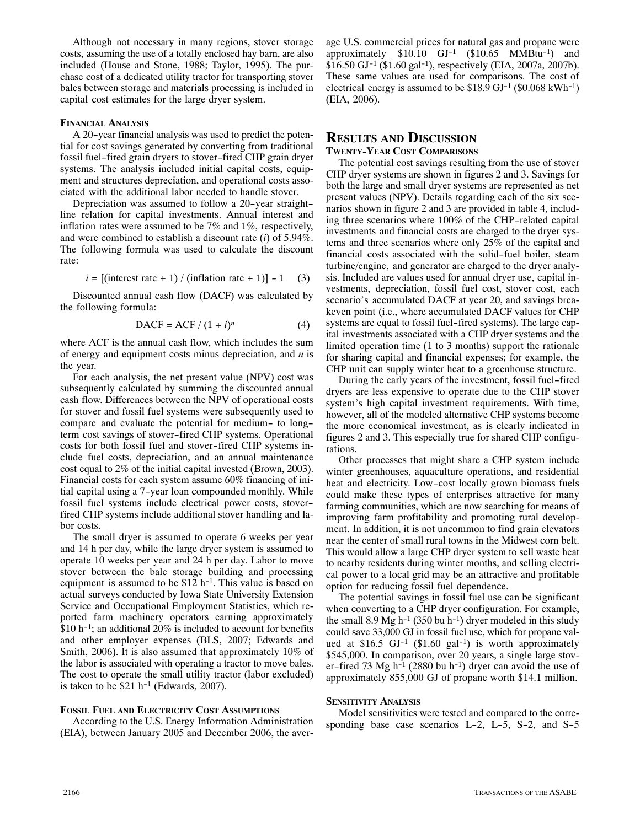Although not necessary in many regions, stover storage costs, assuming the use of a totally enclosed hay barn, are also included (House and Stone, 1988; Taylor, 1995). The pur‐ chase cost of a dedicated utility tractor for transporting stover bales between storage and materials processing is included in capital cost estimates for the large dryer system.

## **FINANCIAL ANALYSIS**

A 20-year financial analysis was used to predict the poten‐ tial for cost savings generated by converting from traditional fossil fuel-fired grain dryers to stover-fired CHP grain dryer systems. The analysis included initial capital costs, equip‐ ment and structures depreciation, and operational costs associated with the additional labor needed to handle stover.

Depreciation was assumed to follow a 20-year straightline relation for capital investments. Annual interest and inflation rates were assumed to be 7% and 1%, respectively, and were combined to establish a discount rate (*i*) of 5.94%. The following formula was used to calculate the discount rate:

$$
i = [(\text{interest rate} + 1) / (\text{inflation rate} + 1)] - 1 \quad (3)
$$

Discounted annual cash flow (DACF) was calculated by the following formula:

$$
DACF = ACF / (1 + i)n
$$
 (4)

where ACF is the annual cash flow, which includes the sum of energy and equipment costs minus depreciation, and *n* is the year.

For each analysis, the net present value (NPV) cost was subsequently calculated by summing the discounted annual cash flow. Differences between the NPV of operational costs for stover and fossil fuel systems were subsequently used to compare and evaluate the potential for medium- to longterm cost savings of stover-fired CHP systems. Operational costs for both fossil fuel and stover-fired CHP systems in‐ clude fuel costs, depreciation, and an annual maintenance cost equal to 2% of the initial capital invested (Brown, 2003). Financial costs for each system assume 60% financing of initial capital using a 7-year loan compounded monthly. While fossil fuel systems include electrical power costs, stoverfired CHP systems include additional stover handling and labor costs.

The small dryer is assumed to operate 6 weeks per year and 14 h per day, while the large dryer system is assumed to operate 10 weeks per year and 24 h per day. Labor to move stover between the bale storage building and processing equipment is assumed to be \$12 h-1. This value is based on actual surveys conducted by Iowa State University Extension Service and Occupational Employment Statistics, which re‐ ported farm machinery operators earning approximately  $$10 h^{-1}$ ; an additional 20% is included to account for benefits and other employer expenses (BLS, 2007; Edwards and Smith, 2006). It is also assumed that approximately 10% of the labor is associated with operating a tractor to move bales. The cost to operate the small utility tractor (labor excluded) is taken to be  $$21 h^{-1}$  (Edwards, 2007).

#### **FOSSIL FUEL AND ELECTRICITY COST ASSUMPTIONS**

According to the U.S. Energy Information Administration (EIA), between January 2005 and December 2006, the aver‐

age U.S. commercial prices for natural gas and propane were approximately  $$10.10$  GJ<sup>-1</sup> (\$10.65 MMBtu<sup>-1</sup>) and  $$16.50$  GJ<sup>-1</sup> (\$1.60 gal<sup>-1</sup>), respectively (EIA, 2007a, 2007b). These same values are used for comparisons. The cost of electrical energy is assumed to be  $$18.9$  GJ<sup>-1</sup> ( $$0.068$  kWh<sup>-1</sup>) (EIA, 2006).

## **RESULTS AND DISCUSSION TWENTY-YEAR COST COMPARISONS**

The potential cost savings resulting from the use of stover CHP dryer systems are shown in figures 2 and 3. Savings for both the large and small dryer systems are represented as net present values (NPV). Details regarding each of the six scenarios shown in figure 2 and 3 are provided in table 4, includ‐ ing three scenarios where 100% of the CHP-related capital investments and financial costs are charged to the dryer systems and three scenarios where only 25% of the capital and financial costs associated with the solid-fuel boiler, steam turbine/engine, and generator are charged to the dryer analy‐ sis. Included are values used for annual dryer use, capital in‐ vestments, depreciation, fossil fuel cost, stover cost, each scenario's accumulated DACF at year 20, and savings breakeven point (i.e., where accumulated DACF values for CHP systems are equal to fossil fuel-fired systems). The large capital investments associated with a CHP dryer systems and the limited operation time (1 to 3 months) support the rationale for sharing capital and financial expenses; for example, the CHP unit can supply winter heat to a greenhouse structure.

During the early years of the investment, fossil fuel-fired dryers are less expensive to operate due to the CHP stover system's high capital investment requirements. With time, however, all of the modeled alternative CHP systems become the more economical investment, as is clearly indicated in figures 2 and 3. This especially true for shared CHP configurations.

Other processes that might share a CHP system include winter greenhouses, aquaculture operations, and residential heat and electricity. Low-cost locally grown biomass fuels could make these types of enterprises attractive for many farming communities, which are now searching for means of improving farm profitability and promoting rural development. In addition, it is not uncommon to find grain elevators near the center of small rural towns in the Midwest corn belt. This would allow a large CHP dryer system to sell waste heat to nearby residents during winter months, and selling electri‐ cal power to a local grid may be an attractive and profitable option for reducing fossil fuel dependence.

The potential savings in fossil fuel use can be significant when converting to a CHP dryer configuration. For example, the small 8.9 Mg  $h^{-1}$  (350 bu  $h^{-1}$ ) dryer modeled in this study could save 33,000 GJ in fossil fuel use, which for propane valued at  $$16.5$  GJ<sup>-1</sup> ( $$1.60$  gal<sup>-1</sup>) is worth approximately \$545,000. In comparison, over 20 years, a single large stov‐ er-fired 73 Mg  $h^{-1}$  (2880 bu  $h^{-1}$ ) dryer can avoid the use of approximately 855,000 GJ of propane worth \$14.1 million.

## **SENSITIVITY ANALYSIS**

Model sensitivities were tested and compared to the corresponding base case scenarios L-2, L-5, S-2, and S-5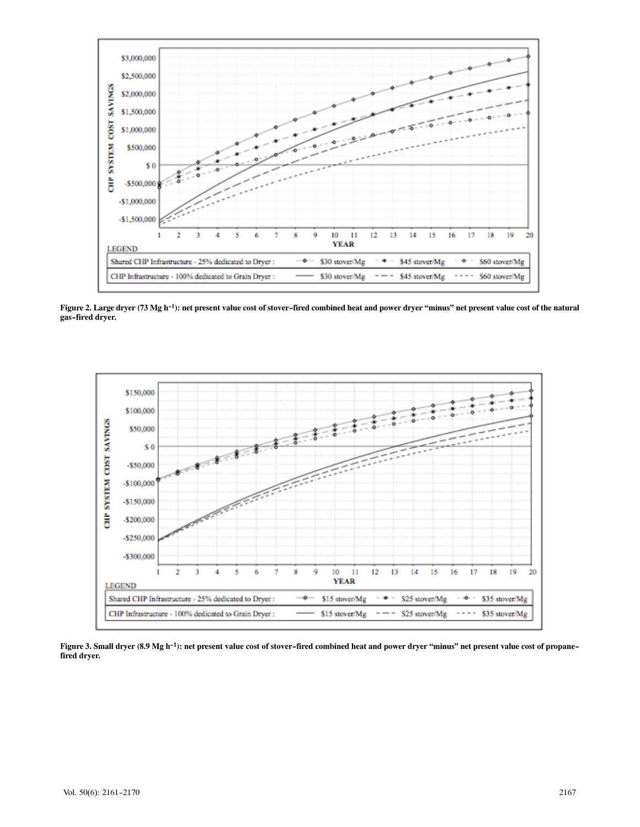

**Figure 2. Large dryer (73 Mg h-1): net present value cost of stover-fired combined heat and power dryer "minus" net present value cost of the natural gas-fired dryer.**



**Figure 3. Small dryer (8.9 Mg h-1): net present value cost of stover-fired combined heat and power dryer "minus" net present value cost of propanefired dryer.**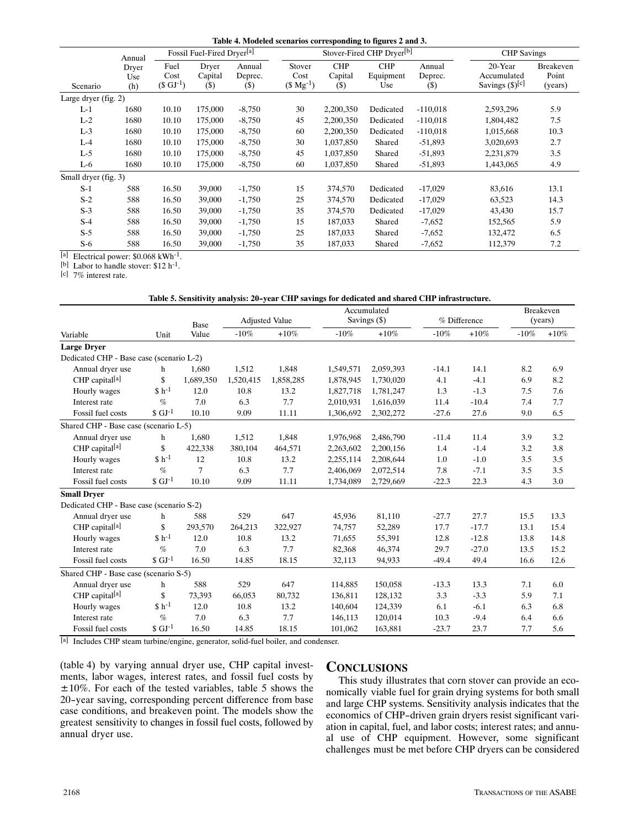|                        | Annual              | Fossil Fuel-Fired Dryer <sup>[a]</sup> |                           |                                                  |                                | Stover-Fired CHP Dryer <sup>[b]</sup> |                                |                             |                                                | <b>CHP</b> Savings                   |  |
|------------------------|---------------------|----------------------------------------|---------------------------|--------------------------------------------------|--------------------------------|---------------------------------------|--------------------------------|-----------------------------|------------------------------------------------|--------------------------------------|--|
| Scenario               | Dryer<br>Use<br>(h) | Fuel<br>Cost<br>$(S \text{ GJ}^{-1})$  | Dryer<br>Capital<br>$($)$ | Annual<br>Deprec.<br>$\left( \mathcal{S}\right)$ | Stover<br>Cost<br>$($Mg^{-1})$ | <b>CHP</b><br>Capital<br>$(\$)$       | <b>CHP</b><br>Equipment<br>Use | Annual<br>Deprec.<br>$($ \$ | 20-Year<br>Accumulated<br>Savings $(\S)^{[c]}$ | <b>Breakeven</b><br>Point<br>(years) |  |
| Large dryer $(fig. 2)$ |                     |                                        |                           |                                                  |                                |                                       |                                |                             |                                                |                                      |  |
| $L-1$                  | 1680                | 10.10                                  | 175,000                   | $-8,750$                                         | 30                             | 2,200,350                             | Dedicated                      | $-110,018$                  | 2,593,296                                      | 5.9                                  |  |
| $L-2$                  | 1680                | 10.10                                  | 175,000                   | $-8,750$                                         | 45                             | 2,200,350                             | Dedicated                      | $-110,018$                  | 1,804,482                                      | 7.5                                  |  |
| $L-3$                  | 1680                | 10.10                                  | 175,000                   | $-8,750$                                         | 60                             | 2,200,350                             | Dedicated                      | $-110,018$                  | 1,015,668                                      | 10.3                                 |  |
| $L-4$                  | 1680                | 10.10                                  | 175,000                   | $-8,750$                                         | 30                             | 1,037,850                             | Shared                         | $-51,893$                   | 3,020,693                                      | 2.7                                  |  |
| $L-5$                  | 1680                | 10.10                                  | 175,000                   | $-8,750$                                         | 45                             | 1,037,850                             | Shared                         | $-51,893$                   | 2,231,879                                      | 3.5                                  |  |
| $L-6$                  | 1680                | 10.10                                  | 175,000                   | $-8,750$                                         | 60                             | 1,037,850                             | Shared                         | $-51,893$                   | 1,443,065                                      | 4.9                                  |  |
| Small dryer (fig. 3)   |                     |                                        |                           |                                                  |                                |                                       |                                |                             |                                                |                                      |  |
| $S-1$                  | 588                 | 16.50                                  | 39,000                    | $-1,750$                                         | 15                             | 374,570                               | Dedicated                      | $-17,029$                   | 83,616                                         | 13.1                                 |  |
| $S-2$                  | 588                 | 16.50                                  | 39,000                    | $-1,750$                                         | 25                             | 374,570                               | Dedicated                      | $-17,029$                   | 63,523                                         | 14.3                                 |  |
| $S-3$                  | 588                 | 16.50                                  | 39,000                    | $-1,750$                                         | 35                             | 374,570                               | Dedicated                      | $-17,029$                   | 43,430                                         | 15.7                                 |  |
| $S-4$                  | 588                 | 16.50                                  | 39,000                    | $-1,750$                                         | 15                             | 187,033                               | Shared                         | $-7,652$                    | 152,565                                        | 5.9                                  |  |
| $S-5$                  | 588                 | 16.50                                  | 39,000                    | $-1,750$                                         | 25                             | 187,033                               | Shared                         | $-7,652$                    | 132,472                                        | 6.5                                  |  |
| $S-6$                  | 588                 | 16.50                                  | 39,000                    | $-1,750$                                         | 35                             | 187,033                               | Shared                         | $-7,652$                    | 112,379                                        | 7.2                                  |  |

[a] Electrical power:  $$0.068 \text{ kWh}$ <sup>1</sup>.<br>[b] Labor to handle stover:  $$12 \text{ h}$ <sup>1</sup>.<br>[c] 7% interest rate.

## **Table 5. Sensitivity analysis: 20-year CHP savings for dedicated and shared CHP infrastructure.**

|                                          |                      | Base      |           |                       | Accumulated |              | % Difference |         | Breakeven |        |
|------------------------------------------|----------------------|-----------|-----------|-----------------------|-------------|--------------|--------------|---------|-----------|--------|
|                                          |                      |           |           | <b>Adjusted Value</b> |             | Savings (\$) |              |         | (years)   |        |
| Variable                                 | Unit                 | Value     | $-10\%$   | $+10%$                | $-10%$      | $+10%$       | $-10%$       | $+10%$  | $-10%$    | $+10%$ |
| <b>Large Dryer</b>                       |                      |           |           |                       |             |              |              |         |           |        |
| Dedicated CHP - Base case (scenario L-2) |                      |           |           |                       |             |              |              |         |           |        |
| Annual dryer use                         | h                    | 1,680     | 1,512     | 1,848                 | 1,549,571   | 2,059,393    | $-14.1$      | 14.1    | 8.2       | 6.9    |
| CHP capital <sup>[a]</sup>               | \$                   | 1,689,350 | 1,520,415 | 1,858,285             | 1,878,945   | 1,730,020    | 4.1          | $-4.1$  | 6.9       | 8.2    |
| Hourly wages                             | $$h^{-1}$$           | 12.0      | 10.8      | 13.2                  | 1,827,718   | 1,781,247    | 1.3          | $-1.3$  | 7.5       | 7.6    |
| Interest rate                            | $\%$                 | 7.0       | 6.3       | 7.7                   | 2,010,931   | 1,616,039    | 11.4         | $-10.4$ | 7.4       | 7.7    |
| Fossil fuel costs                        | $S$ GJ <sup>-1</sup> | 10.10     | 9.09      | 11.11                 | 1,306,692   | 2,302,272    | $-27.6$      | 27.6    | 9.0       | 6.5    |
| Shared CHP - Base case (scenario L-5)    |                      |           |           |                       |             |              |              |         |           |        |
| Annual dryer use                         | h                    | 1,680     | 1,512     | 1,848                 | 1,976,968   | 2,486,790    | $-11.4$      | 11.4    | 3.9       | 3.2    |
| CHP capital <sup>[a]</sup>               | \$                   | 422,338   | 380,104   | 464,571               | 2,263,602   | 2,200,156    | 1.4          | $-1.4$  | 3.2       | 3.8    |
| Hourly wages                             | $$h^{-1}$$           | 12        | 10.8      | 13.2                  | 2,255,114   | 2,208,644    | 1.0          | $-1.0$  | 3.5       | 3.5    |
| Interest rate                            | $\%$                 | 7         | 6.3       | 7.7                   | 2,406,069   | 2,072,514    | 7.8          | $-7.1$  | 3.5       | 3.5    |
| Fossil fuel costs                        | $$$ GJ <sup>-1</sup> | 10.10     | 9.09      | 11.11                 | 1,734,089   | 2,729,669    | $-22.3$      | 22.3    | 4.3       | 3.0    |
| <b>Small Dryer</b>                       |                      |           |           |                       |             |              |              |         |           |        |
| Dedicated CHP - Base case (scenario S-2) |                      |           |           |                       |             |              |              |         |           |        |
| Annual dryer use                         | h                    | 588       | 529       | 647                   | 45,936      | 81,110       | $-27.7$      | 27.7    | 15.5      | 13.3   |
| CHP capital <sup>[a]</sup>               | \$                   | 293,570   | 264,213   | 322,927               | 74,757      | 52,289       | 17.7         | $-17.7$ | 13.1      | 15.4   |
| Hourly wages                             | $$h^{-1}$$           | 12.0      | 10.8      | 13.2                  | 71,655      | 55,391       | 12.8         | $-12.8$ | 13.8      | 14.8   |
| Interest rate                            | $\%$                 | 7.0       | 6.3       | 7.7                   | 82,368      | 46,374       | 29.7         | $-27.0$ | 13.5      | 15.2   |
| Fossil fuel costs                        | $S$ GJ <sup>-1</sup> | 16.50     | 14.85     | 18.15                 | 32,113      | 94,933       | $-49.4$      | 49.4    | 16.6      | 12.6   |
| Shared CHP - Base case (scenario S-5)    |                      |           |           |                       |             |              |              |         |           |        |
| Annual dryer use                         | h                    | 588       | 529       | 647                   | 114,885     | 150,058      | $-13.3$      | 13.3    | 7.1       | 6.0    |
| CHP capital <sup>[a]</sup>               | \$                   | 73,393    | 66,053    | 80,732                | 136,811     | 128,132      | 3.3          | $-3.3$  | 5.9       | 7.1    |
| Hourly wages                             | $$h^{-1}$$           | 12.0      | 10.8      | 13.2                  | 140,604     | 124,339      | 6.1          | $-6.1$  | 6.3       | 6.8    |
| Interest rate                            | $\%$                 | 7.0       | 6.3       | 7.7                   | 146,113     | 120,014      | 10.3         | $-9.4$  | 6.4       | 6.6    |
| Fossil fuel costs                        | $$$ GJ <sup>-1</sup> | 16.50     | 14.85     | 18.15                 | 101,062     | 163,881      | $-23.7$      | 23.7    | 7.7       | 5.6    |

[a] Includes CHP steam turbine/engine, generator, solid-fuel boiler, and condenser.

(table4) by varying annual dryer use, CHP capital invest‐ ments, labor wages, interest rates, and fossil fuel costs by  $\pm 10\%$ . For each of the tested variables, table 5 shows the 20-year saving, corresponding percent difference from base case conditions, and breakeven point. The models show the greatest sensitivity to changes in fossil fuel costs, followed by annual dryer use.

# **CONCLUSIONS**

This study illustrates that corn stover can provide an economically viable fuel for grain drying systems for both small and large CHP systems. Sensitivity analysis indicates that the economics of CHP-driven grain dryers resist significant variation in capital, fuel, and labor costs; interest rates; and annu‐ al use of CHP equipment. However, some significant challenges must be met before CHP dryers can be considered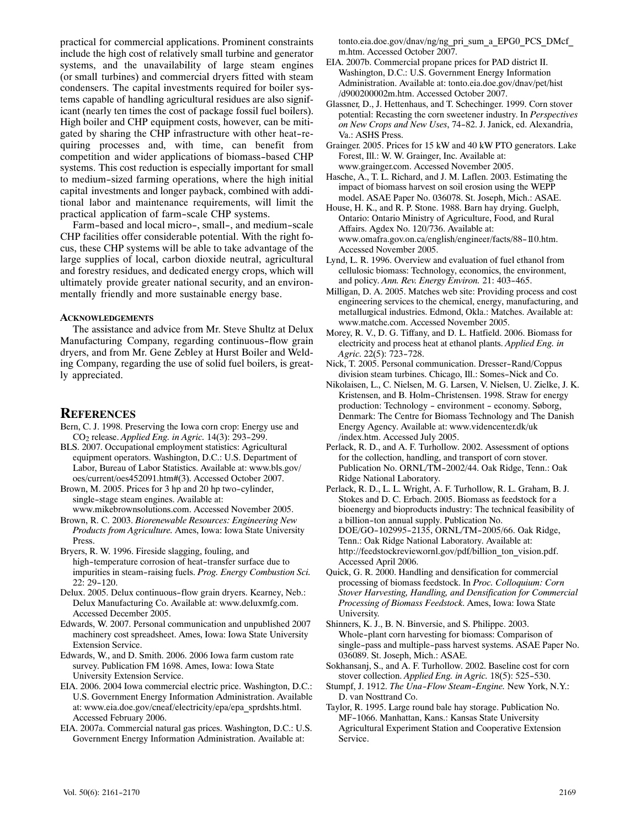practical for commercial applications. Prominent constraints include the high cost of relatively small turbine and generator systems, and the unavailability of large steam engines (orsmall turbines) and commercial dryers fitted with steam condensers. The capital investments required for boiler systems capable of handling agricultural residues are also signif‐ icant (nearly ten times the cost of package fossil fuel boilers). High boiler and CHP equipment costs, however, can be mitigated by sharing the CHP infrastructure with other heat-re‐ quiring processes and, with time, can benefit from competition and wider applications of biomass-based CHP systems. This cost reduction is especially important for small to medium-sized farming operations, where the high initial capital investments and longer payback, combined with addi‐ tional labor and maintenance requirements, will limit the practical application of farm-scale CHP systems.

Farm-based and local micro-, small-, and medium-scale CHP facilities offer considerable potential. With the right fo‐ cus, these CHP systems will be able to take advantage of the large supplies of local, carbon dioxide neutral, agricultural and forestry residues, and dedicated energy crops, which will ultimately provide greater national security, and an environ‐ mentally friendly and more sustainable energy base.

#### **ACKNOWLEDGEMENTS**

The assistance and advice from Mr. Steve Shultz at Delux Manufacturing Company, regarding continuous-flow grain dryers, and from Mr. Gene Zebley at Hurst Boiler and Weld‐ ing Company, regarding the use of solid fuel boilers, is great‐ ly appreciated.

## **REFERENCES**

- Bern, C. J. 1998. Preserving the Iowa corn crop: Energy use and CO2 release. *Applied Eng. in Agric.* 14(3): 293-299.
- BLS. 2007. Occupational employment statistics: Agricultural equipment operators. Washington, D.C.: U.S. Department of Labor, Bureau of Labor Statistics. Available at: www.bls.gov/ oes/current/oes452091.htm#(3). Accessed October 2007.
- Brown, M. 2005. Prices for 3 hp and 20 hp two-cylinder, single-stage steam engines. Available at: www.mikebrownsolutions.com. Accessed November 2005.
- Brown, R. C. 2003. *Biorenewable Resources: Engineering New Products from Agriculture.* Ames, Iowa: Iowa State University Press.
- Bryers, R. W. 1996. Fireside slagging, fouling, and high-temperature corrosion of heat-transfer surface due to impurities in steam-raising fuels. *Prog. Energy Combustion Sci.* 22: 29-120.
- Delux. 2005. Delux continuous-flow grain dryers. Kearney, Neb.: Delux Manufacturing Co. Available at: www.deluxmfg.com. Accessed December 2005.
- Edwards, W. 2007. Personal communication and unpublished 2007 machinery cost spreadsheet. Ames, Iowa: Iowa State University Extension Service.
- Edwards, W., and D. Smith. 2006. 2006 Iowa farm custom rate survey. Publication FM 1698. Ames, Iowa: Iowa State University Extension Service.
- EIA. 2006. 2004 Iowa commercial electric price. Washington, D.C.: U.S. Government Energy Information Administration. Available at: www.eia.doe.gov/cneaf/electricity/epa/epa\_sprdshts.html. Accessed February 2006.
- EIA. 2007a. Commercial natural gas prices. Washington, D.C.: U.S. Government Energy Information Administration. Available at:

tonto.eia.doe.gov/dnav/ng/ng\_pri\_sum\_a\_EPG0\_PCS\_DMcf m.htm. Accessed October 2007.

- EIA. 2007b. Commercial propane prices for PAD district II. Washington, D.C.: U.S. Government Energy Information Administration. Available at: tonto.eia.doe.gov/dnav/pet/hist /d900200002m.htm. Accessed October 2007.
- Glassner, D., J. Hettenhaus, and T. Schechinger. 1999. Corn stover potential: Recasting the corn sweetener industry. In *Perspectives on New Crops and New Uses*, 74-82. J. Janick, ed. Alexandria, Va.: ASHS Press.
- Grainger. 2005. Prices for 15 kW and 40 kW PTO generators. Lake Forest, Ill.: W. W. Grainger, Inc. Available at: www.grainger.com. Accessed November 2005.
- Hasche, A., T. L. Richard, and J. M. Laflen. 2003. Estimating the impact of biomass harvest on soil erosion using the WEPP model. ASAE Paper No. 036078. St. Joseph, Mich.: ASAE.
- House, H. K., and R. P. Stone. 1988. Barn hay drying. Guelph, Ontario: Ontario Ministry of Agriculture, Food, and Rural Affairs. Agdex No. 120/736. Available at: www.omafra.gov.on.ca/english/engineer/facts/88-110.htm. Accessed November 2005.
- Lynd, L. R. 1996. Overview and evaluation of fuel ethanol from cellulosic biomass: Technology, economics, the environment, and policy. *Ann. Rev. Energy Environ.* 21: 403-465.
- Milligan, D. A. 2005. Matches web site: Providing process and cost engineering services to the chemical, energy, manufacturing, and metallurgical industries. Edmond, Okla.: Matches. Available at: www.matche.com. Accessed November 2005.
- Morey, R. V., D. G. Tiffany, and D. L. Hatfield. 2006. Biomass for electricity and process heat at ethanol plants. *Applied Eng. in Agric.* 22(5): 723-728.
- Nick, T. 2005. Personal communication. Dresser-Rand/Coppus division steam turbines. Chicago, Ill.: Somes-Nick and Co.
- Nikolaisen, L., C. Nielsen, M. G. Larsen, V. Nielsen, U. Zielke, J. K. Kristensen, and B. Holm-Christensen. 1998. Straw for energy production: Technology - environment - economy. Søborg, Denmark: The Centre for Biomass Technology and The Danish Energy Agency. Available at: www.videncenter.dk/uk /index.htm. Accessed July 2005.
- Perlack, R. D., and A. F. Turhollow. 2002. Assessment of options for the collection, handling, and transport of corn stover. Publication No. ORNL/TM-2002/44. Oak Ridge, Tenn.: Oak Ridge National Laboratory.
- Perlack, R. D., L. L. Wright, A. F. Turhollow, R. L. Graham, B. J. Stokes and D. C. Erbach. 2005. Biomass as feedstock for a bioenergy and bioproducts industry: The technical feasibility of a billion-ton annual supply. Publication No. DOE/GO-102995-2135, ORNL/TM-2005/66. Oak Ridge, Tenn.: Oak Ridge National Laboratory. Available at: http://feedstockreview.ornl.gov/pdf/billion\_ton\_vision.pdf. Accessed April 2006.
- Quick, G. R. 2000. Handling and densification for commercial processing of biomass feedstock. In *Proc. Colloquium: Corn Stover Harvesting, Handling, and Densification for Commercial Processing of Biomass Feedstock*. Ames, Iowa: Iowa State University.

Shinners, K. J., B. N. Binversie, and S. Philippe. 2003. Whole-plant corn harvesting for biomass: Comparison of single-pass and multiple-pass harvest systems. ASAE Paper No. 036089. St. Joseph, Mich.: ASAE.

- Sokhansanj, S., and A. F. Turhollow. 2002. Baseline cost for corn stover collection. *Applied Eng. in Agric.* 18(5): 525-530.
- Stumpf, J. 1912. *The Una-Flow Steam-Engine.* New York, N.Y.: D. van Nosttrand Co.
- Taylor, R. 1995. Large round bale hay storage. Publication No. MF-1066. Manhattan, Kans.: Kansas State University Agricultural Experiment Station and Cooperative Extension Service.